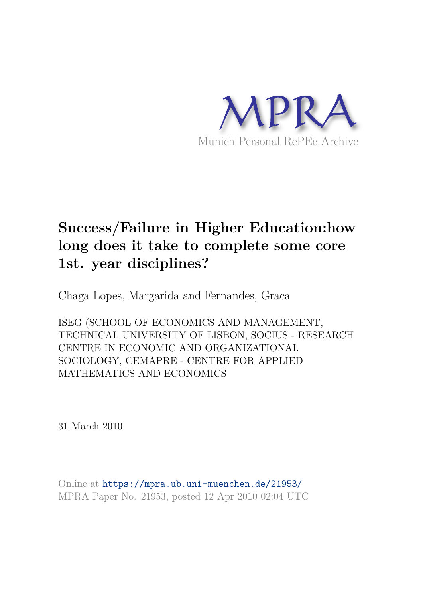

# **Success/Failure in Higher Education:how long does it take to complete some core 1st. year disciplines?**

Chaga Lopes, Margarida and Fernandes, Graca

ISEG (SCHOOL OF ECONOMICS AND MANAGEMENT, TECHNICAL UNIVERSITY OF LISBON, SOCIUS - RESEARCH CENTRE IN ECONOMIC AND ORGANIZATIONAL SOCIOLOGY, CEMAPRE - CENTRE FOR APPLIED MATHEMATICS AND ECONOMICS

31 March 2010

Online at https://mpra.ub.uni-muenchen.de/21953/ MPRA Paper No. 21953, posted 12 Apr 2010 02:04 UTC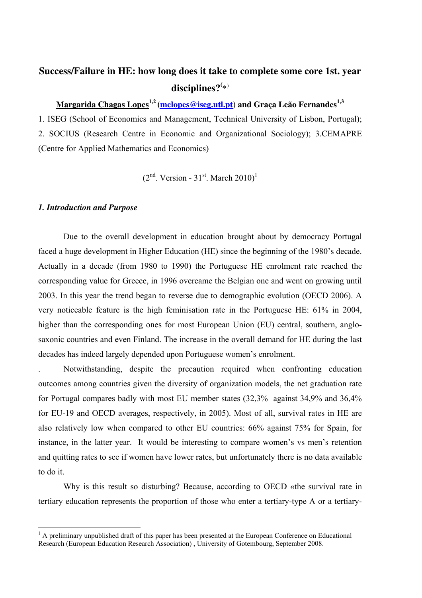## **Success/Failure in HE: how long does it take to complete some core 1st. year disciplines?(** \* )

**Margarida Chagas Lopes1,2 (mclopes@iseg.utl.pt) and Graça Leão Fernandes1,3** 

1. ISEG (School of Economics and Management, Technical University of Lisbon, Portugal); 2. SOCIUS (Research Centre in Economic and Organizational Sociology); 3.CEMAPRE (Centre for Applied Mathematics and Economics)

 $(2<sup>nd</sup> Version - 31<sup>st</sup> March 2010)<sup>1</sup>$ 

#### *1. Introduction and Purpose*

 $\overline{a}$ 

 Due to the overall development in education brought about by democracy Portugal faced a huge development in Higher Education (HE) since the beginning of the 1980's decade. Actually in a decade (from 1980 to 1990) the Portuguese HE enrolment rate reached the corresponding value for Greece, in 1996 overcame the Belgian one and went on growing until 2003. In this year the trend began to reverse due to demographic evolution (OECD 2006). A very noticeable feature is the high feminisation rate in the Portuguese HE: 61% in 2004, higher than the corresponding ones for most European Union (EU) central, southern, anglosaxonic countries and even Finland. The increase in the overall demand for HE during the last decades has indeed largely depended upon Portuguese women's enrolment.

. Notwithstanding, despite the precaution required when confronting education outcomes among countries given the diversity of organization models, the net graduation rate for Portugal compares badly with most EU member states (32,3% against 34,9% and 36,4% for EU-19 and OECD averages, respectively, in 2005). Most of all, survival rates in HE are also relatively low when compared to other EU countries: 66% against 75% for Spain, for instance, in the latter year. It would be interesting to compare women's vs men's retention and quitting rates to see if women have lower rates, but unfortunately there is no data available to do it.

Why is this result so disturbing? Because, according to OECD «the survival rate in tertiary education represents the proportion of those who enter a tertiary-type A or a tertiary-

<sup>&</sup>lt;sup>1</sup> A preliminary unpublished draft of this paper has been presented at the European Conference on Educational Research (European Education Research Association) , University of Gotembourg, September 2008.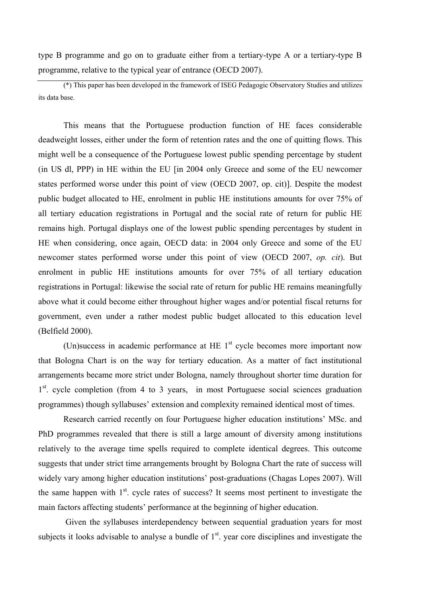type B programme and go on to graduate either from a tertiary-type A or a tertiary-type B programme, relative to the typical year of entrance (OECD 2007).

(\*) This paper has been developed in the framework of ISEG Pedagogic Observatory Studies and utilizes its data base.

This means that the Portuguese production function of HE faces considerable deadweight losses, either under the form of retention rates and the one of quitting flows. This might well be a consequence of the Portuguese lowest public spending percentage by student (in US dl, PPP) in HE within the EU [in 2004 only Greece and some of the EU newcomer states performed worse under this point of view (OECD 2007, op. cit)]. Despite the modest public budget allocated to HE, enrolment in public HE institutions amounts for over 75% of all tertiary education registrations in Portugal and the social rate of return for public HE remains high. Portugal displays one of the lowest public spending percentages by student in HE when considering, once again, OECD data: in 2004 only Greece and some of the EU newcomer states performed worse under this point of view (OECD 2007, *op. cit*). But enrolment in public HE institutions amounts for over 75% of all tertiary education registrations in Portugal: likewise the social rate of return for public HE remains meaningfully above what it could become either throughout higher wages and/or potential fiscal returns for government, even under a rather modest public budget allocated to this education level (Belfield 2000).

(Un)success in academic performance at  $HE<sup>1</sup>$  cycle becomes more important now that Bologna Chart is on the way for tertiary education. As a matter of fact institutional arrangements became more strict under Bologna, namely throughout shorter time duration for 1<sup>st</sup>. cycle completion (from 4 to 3 years, in most Portuguese social sciences graduation programmes) though syllabuses' extension and complexity remained identical most of times.

Research carried recently on four Portuguese higher education institutions' MSc. and PhD programmes revealed that there is still a large amount of diversity among institutions relatively to the average time spells required to complete identical degrees. This outcome suggests that under strict time arrangements brought by Bologna Chart the rate of success will widely vary among higher education institutions' post-graduations (Chagas Lopes 2007). Will the same happen with  $1<sup>st</sup>$ . cycle rates of success? It seems most pertinent to investigate the main factors affecting students' performance at the beginning of higher education.

 Given the syllabuses interdependency between sequential graduation years for most subjects it looks advisable to analyse a bundle of  $1<sup>st</sup>$ , year core disciplines and investigate the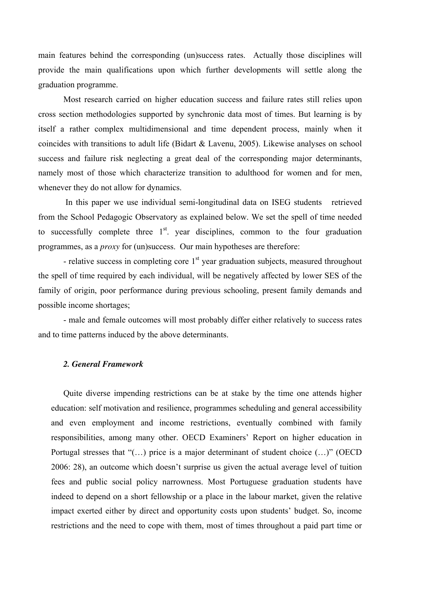main features behind the corresponding (un)success rates. Actually those disciplines will provide the main qualifications upon which further developments will settle along the graduation programme.

Most research carried on higher education success and failure rates still relies upon cross section methodologies supported by synchronic data most of times. But learning is by itself a rather complex multidimensional and time dependent process, mainly when it coincides with transitions to adult life (Bidart & Lavenu, 2005). Likewise analyses on school success and failure risk neglecting a great deal of the corresponding major determinants, namely most of those which characterize transition to adulthood for women and for men, whenever they do not allow for dynamics.

 In this paper we use individual semi-longitudinal data on ISEG students retrieved from the School Pedagogic Observatory as explained below. We set the spell of time needed to successfully complete three  $1<sup>st</sup>$  year disciplines, common to the four graduation programmes, as a *proxy* for (un)success. Our main hypotheses are therefore:

- relative success in completing core  $1<sup>st</sup>$  year graduation subjects, measured throughout the spell of time required by each individual, will be negatively affected by lower SES of the family of origin, poor performance during previous schooling, present family demands and possible income shortages;

- male and female outcomes will most probably differ either relatively to success rates and to time patterns induced by the above determinants.

#### *2. General Framework*

Quite diverse impending restrictions can be at stake by the time one attends higher education: self motivation and resilience, programmes scheduling and general accessibility and even employment and income restrictions, eventually combined with family responsibilities, among many other. OECD Examiners' Report on higher education in Portugal stresses that "(…) price is a major determinant of student choice (…)" (OECD 2006: 28), an outcome which doesn't surprise us given the actual average level of tuition fees and public social policy narrowness. Most Portuguese graduation students have indeed to depend on a short fellowship or a place in the labour market, given the relative impact exerted either by direct and opportunity costs upon students' budget. So, income restrictions and the need to cope with them, most of times throughout a paid part time or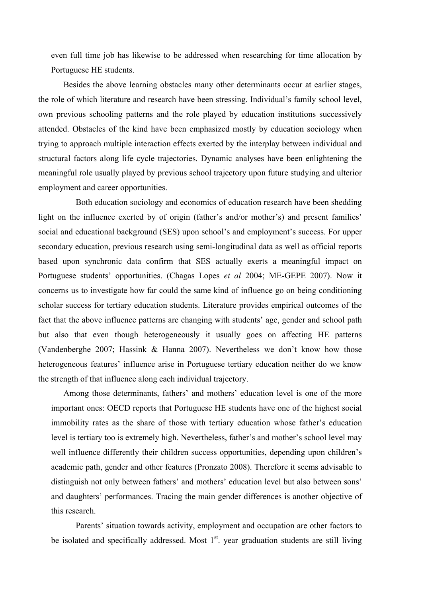even full time job has likewise to be addressed when researching for time allocation by Portuguese HE students.

Besides the above learning obstacles many other determinants occur at earlier stages, the role of which literature and research have been stressing. Individual's family school level, own previous schooling patterns and the role played by education institutions successively attended. Obstacles of the kind have been emphasized mostly by education sociology when trying to approach multiple interaction effects exerted by the interplay between individual and structural factors along life cycle trajectories. Dynamic analyses have been enlightening the meaningful role usually played by previous school trajectory upon future studying and ulterior employment and career opportunities.

Both education sociology and economics of education research have been shedding light on the influence exerted by of origin (father's and/or mother's) and present families' social and educational background (SES) upon school's and employment's success. For upper secondary education, previous research using semi-longitudinal data as well as official reports based upon synchronic data confirm that SES actually exerts a meaningful impact on Portuguese students' opportunities. (Chagas Lopes *et al* 2004; ME-GEPE 2007). Now it concerns us to investigate how far could the same kind of influence go on being conditioning scholar success for tertiary education students. Literature provides empirical outcomes of the fact that the above influence patterns are changing with students' age, gender and school path but also that even though heterogeneously it usually goes on affecting HE patterns (Vandenberghe 2007; Hassink & Hanna 2007). Nevertheless we don't know how those heterogeneous features' influence arise in Portuguese tertiary education neither do we know the strength of that influence along each individual trajectory.

Among those determinants, fathers' and mothers' education level is one of the more important ones: OECD reports that Portuguese HE students have one of the highest social immobility rates as the share of those with tertiary education whose father's education level is tertiary too is extremely high. Nevertheless, father's and mother's school level may well influence differently their children success opportunities, depending upon children's academic path, gender and other features (Pronzato 2008). Therefore it seems advisable to distinguish not only between fathers' and mothers' education level but also between sons' and daughters' performances. Tracing the main gender differences is another objective of this research.

Parents' situation towards activity, employment and occupation are other factors to be isolated and specifically addressed. Most  $1<sup>st</sup>$ , year graduation students are still living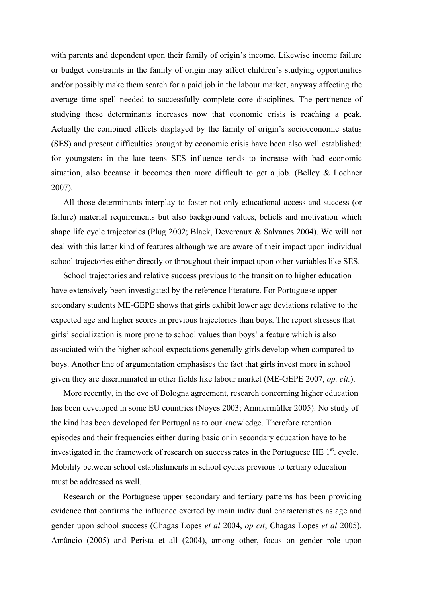with parents and dependent upon their family of origin's income. Likewise income failure or budget constraints in the family of origin may affect children's studying opportunities and/or possibly make them search for a paid job in the labour market, anyway affecting the average time spell needed to successfully complete core disciplines. The pertinence of studying these determinants increases now that economic crisis is reaching a peak. Actually the combined effects displayed by the family of origin's socioeconomic status (SES) and present difficulties brought by economic crisis have been also well established: for youngsters in the late teens SES influence tends to increase with bad economic situation, also because it becomes then more difficult to get a job. (Belley & Lochner 2007).

All those determinants interplay to foster not only educational access and success (or failure) material requirements but also background values, beliefs and motivation which shape life cycle trajectories (Plug 2002; Black, Devereaux & Salvanes 2004). We will not deal with this latter kind of features although we are aware of their impact upon individual school trajectories either directly or throughout their impact upon other variables like SES.

School trajectories and relative success previous to the transition to higher education have extensively been investigated by the reference literature. For Portuguese upper secondary students ME-GEPE shows that girls exhibit lower age deviations relative to the expected age and higher scores in previous trajectories than boys. The report stresses that girls' socialization is more prone to school values than boys' a feature which is also associated with the higher school expectations generally girls develop when compared to boys. Another line of argumentation emphasises the fact that girls invest more in school given they are discriminated in other fields like labour market (ME-GEPE 2007, *op. cit.*).

More recently, in the eve of Bologna agreement, research concerning higher education has been developed in some EU countries (Noyes 2003; Ammermüller 2005). No study of the kind has been developed for Portugal as to our knowledge. Therefore retention episodes and their frequencies either during basic or in secondary education have to be investigated in the framework of research on success rates in the Portuguese HE  $1<sup>st</sup>$ . cycle. Mobility between school establishments in school cycles previous to tertiary education must be addressed as well.

Research on the Portuguese upper secondary and tertiary patterns has been providing evidence that confirms the influence exerted by main individual characteristics as age and gender upon school success (Chagas Lopes *et al* 2004, *op cit*; Chagas Lopes *et al* 2005). Amâncio (2005) and Perista et all (2004), among other, focus on gender role upon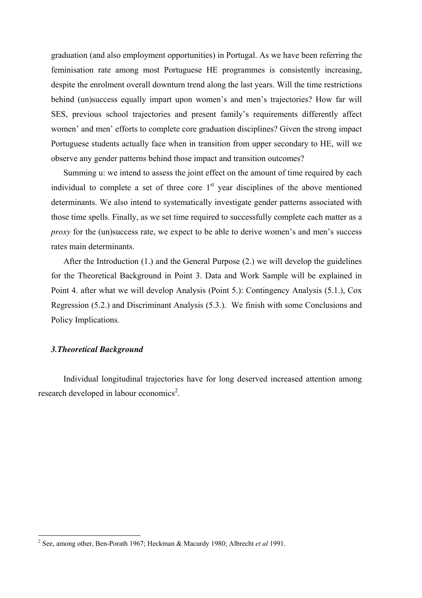graduation (and also employment opportunities) in Portugal. As we have been referring the feminisation rate among most Portuguese HE programmes is consistently increasing, despite the enrolment overall downturn trend along the last years. Will the time restrictions behind (un)success equally impart upon women's and men's trajectories? How far will SES, previous school trajectories and present family's requirements differently affect women' and men' efforts to complete core graduation disciplines? Given the strong impact Portuguese students actually face when in transition from upper secondary to HE, will we observe any gender patterns behind those impact and transition outcomes?

Summing u: we intend to assess the joint effect on the amount of time required by each individual to complete a set of three core  $1<sup>st</sup>$  year disciplines of the above mentioned determinants. We also intend to systematically investigate gender patterns associated with those time spells. Finally, as we set time required to successfully complete each matter as a *proxy* for the (un)success rate, we expect to be able to derive women's and men's success rates main determinants.

After the Introduction (1.) and the General Purpose (2.) we will develop the guidelines for the Theoretical Background in Point 3. Data and Work Sample will be explained in Point 4. after what we will develop Analysis (Point 5.): Contingency Analysis (5.1.), Cox Regression (5.2.) and Discriminant Analysis (5.3.). We finish with some Conclusions and Policy Implications.

#### *3.Theoretical Background*

Individual longitudinal trajectories have for long deserved increased attention among research developed in labour economics<sup>2</sup>.

 2 See, among other, Ben-Porath 1967; Heckman & Macurdy 1980; Albrecht *et al* 1991.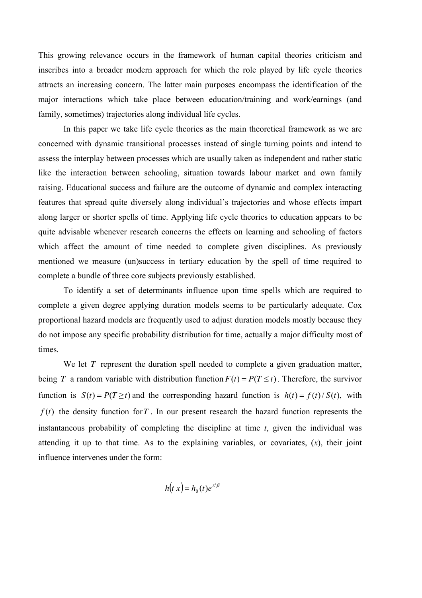This growing relevance occurs in the framework of human capital theories criticism and inscribes into a broader modern approach for which the role played by life cycle theories attracts an increasing concern. The latter main purposes encompass the identification of the major interactions which take place between education/training and work/earnings (and family, sometimes) trajectories along individual life cycles.

In this paper we take life cycle theories as the main theoretical framework as we are concerned with dynamic transitional processes instead of single turning points and intend to assess the interplay between processes which are usually taken as independent and rather static like the interaction between schooling, situation towards labour market and own family raising. Educational success and failure are the outcome of dynamic and complex interacting features that spread quite diversely along individual's trajectories and whose effects impart along larger or shorter spells of time. Applying life cycle theories to education appears to be quite advisable whenever research concerns the effects on learning and schooling of factors which affect the amount of time needed to complete given disciplines. As previously mentioned we measure (un)success in tertiary education by the spell of time required to complete a bundle of three core subjects previously established.

To identify a set of determinants influence upon time spells which are required to complete a given degree applying duration models seems to be particularly adequate. Cox proportional hazard models are frequently used to adjust duration models mostly because they do not impose any specific probability distribution for time, actually a major difficulty most of times.

We let *T* represent the duration spell needed to complete a given graduation matter, being *T* a random variable with distribution function  $F(t) = P(T \le t)$ . Therefore, the survivor function is  $S(t) = P(T \ge t)$  and the corresponding hazard function is  $h(t) = f(t)/S(t)$ , with  $f(t)$  the density function for *T*. In our present research the hazard function represents the instantaneous probability of completing the discipline at time *t*, given the individual was attending it up to that time. As to the explaining variables, or covariates,  $(x)$ , their joint influence intervenes under the form:

$$
h(t|x) = h_0(t)e^{x^t\beta}
$$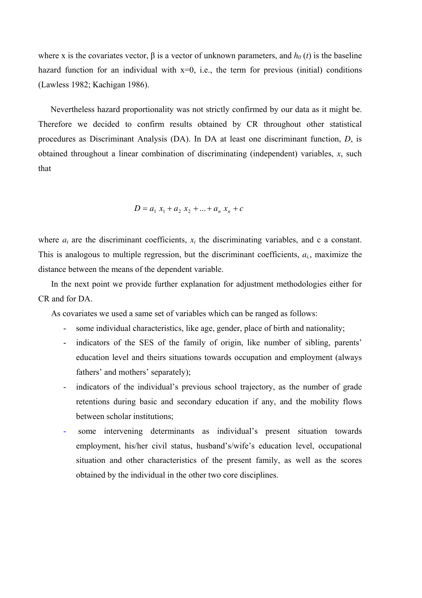where x is the covariates vector, β is a vector of unknown parameters, and *h<sup>0</sup>* (*t*) is the baseline hazard function for an individual with  $x=0$ , i.e., the term for previous (initial) conditions (Lawless 1982; Kachigan 1986).

Nevertheless hazard proportionality was not strictly confirmed by our data as it might be. Therefore we decided to confirm results obtained by CR throughout other statistical procedures as Discriminant Analysis (DA). In DA at least one discriminant function, *D*, is obtained throughout a linear combination of discriminating (independent) variables, *x*, such that

$$
D = a_1 x_1 + a_2 x_2 + \dots + a_n x_n + c
$$

where  $a_i$  are the discriminant coefficients,  $x_i$  the discriminating variables, and c a constant. This is analogous to multiple regression, but the discriminant coefficients, *ai,*, maximize the distance between the means of the dependent variable.

In the next point we provide further explanation for adjustment methodologies either for CR and for DA.

As covariates we used a same set of variables which can be ranged as follows:

- some individual characteristics, like age, gender, place of birth and nationality;
- indicators of the SES of the family of origin, like number of sibling, parents' education level and theirs situations towards occupation and employment (always fathers' and mothers' separately);
- indicators of the individual's previous school trajectory, as the number of grade retentions during basic and secondary education if any, and the mobility flows between scholar institutions;
- some intervening determinants as individual's present situation towards employment, his/her civil status, husband's/wife's education level, occupational situation and other characteristics of the present family, as well as the scores obtained by the individual in the other two core disciplines.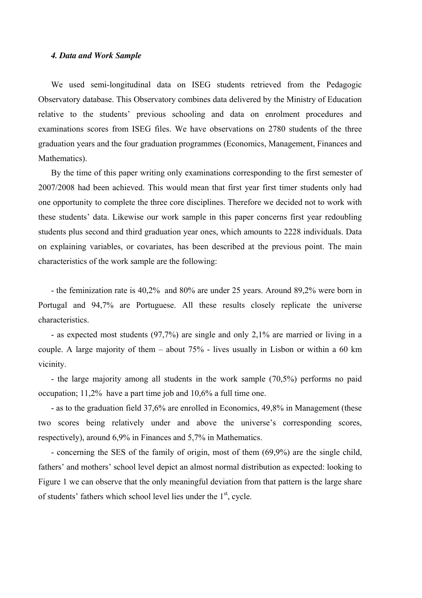#### *4. Data and Work Sample*

We used semi-longitudinal data on ISEG students retrieved from the Pedagogic Observatory database. This Observatory combines data delivered by the Ministry of Education relative to the students' previous schooling and data on enrolment procedures and examinations scores from ISEG files. We have observations on 2780 students of the three graduation years and the four graduation programmes (Economics, Management, Finances and Mathematics).

By the time of this paper writing only examinations corresponding to the first semester of 2007/2008 had been achieved. This would mean that first year first timer students only had one opportunity to complete the three core disciplines. Therefore we decided not to work with these students' data. Likewise our work sample in this paper concerns first year redoubling students plus second and third graduation year ones, which amounts to 2228 individuals. Data on explaining variables, or covariates, has been described at the previous point. The main characteristics of the work sample are the following:

- the feminization rate is 40,2% and 80% are under 25 years. Around 89,2% were born in Portugal and 94,7% are Portuguese. All these results closely replicate the universe characteristics.

- as expected most students (97,7%) are single and only 2,1% are married or living in a couple. A large majority of them – about 75% - lives usually in Lisbon or within a 60 km vicinity.

- the large majority among all students in the work sample (70,5%) performs no paid occupation; 11,2% have a part time job and 10,6% a full time one.

- as to the graduation field 37,6% are enrolled in Economics, 49,8% in Management (these two scores being relatively under and above the universe's corresponding scores, respectively), around 6,9% in Finances and 5,7% in Mathematics.

- concerning the SES of the family of origin, most of them (69,9%) are the single child, fathers' and mothers' school level depict an almost normal distribution as expected: looking to Figure 1 we can observe that the only meaningful deviation from that pattern is the large share of students' fathers which school level lies under the 1st, cycle.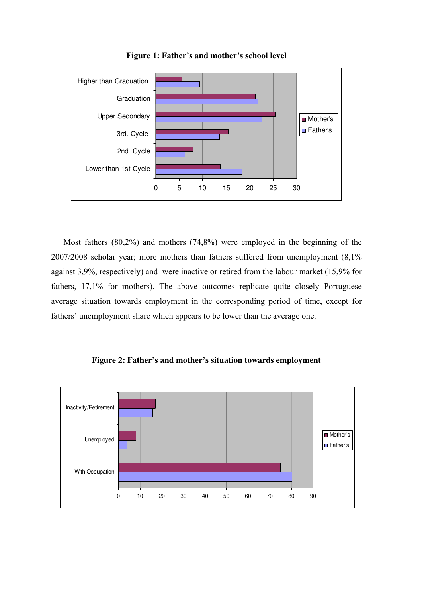

**Figure 1: Father's and mother's school level** 

Most fathers (80,2%) and mothers (74,8%) were employed in the beginning of the 2007/2008 scholar year; more mothers than fathers suffered from unemployment (8,1% against 3,9%, respectively) and were inactive or retired from the labour market (15,9% for fathers, 17,1% for mothers). The above outcomes replicate quite closely Portuguese average situation towards employment in the corresponding period of time, except for fathers' unemployment share which appears to be lower than the average one.



**Figure 2: Father's and mother's situation towards employment**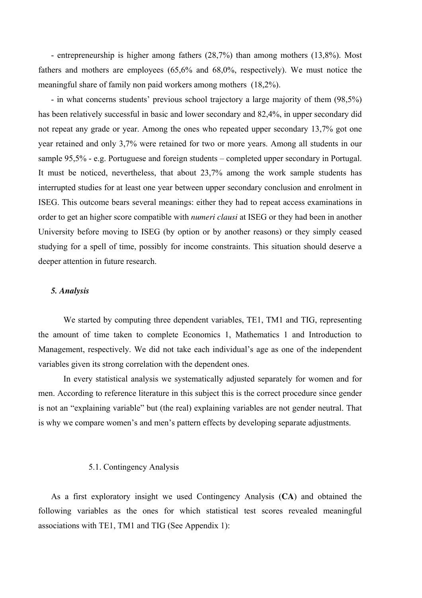- entrepreneurship is higher among fathers (28,7%) than among mothers (13,8%). Most fathers and mothers are employees (65,6% and 68,0%, respectively). We must notice the meaningful share of family non paid workers among mothers (18,2%).

- in what concerns students' previous school trajectory a large majority of them (98,5%) has been relatively successful in basic and lower secondary and 82,4%, in upper secondary did not repeat any grade or year. Among the ones who repeated upper secondary 13,7% got one year retained and only 3,7% were retained for two or more years. Among all students in our sample 95,5% - e.g. Portuguese and foreign students – completed upper secondary in Portugal. It must be noticed, nevertheless, that about 23,7% among the work sample students has interrupted studies for at least one year between upper secondary conclusion and enrolment in ISEG. This outcome bears several meanings: either they had to repeat access examinations in order to get an higher score compatible with *numeri clausi* at ISEG or they had been in another University before moving to ISEG (by option or by another reasons) or they simply ceased studying for a spell of time, possibly for income constraints. This situation should deserve a deeper attention in future research.

### *5. Analysis*

 We started by computing three dependent variables, TE1, TM1 and TIG, representing the amount of time taken to complete Economics 1, Mathematics 1 and Introduction to Management, respectively. We did not take each individual's age as one of the independent variables given its strong correlation with the dependent ones.

 In every statistical analysis we systematically adjusted separately for women and for men. According to reference literature in this subject this is the correct procedure since gender is not an "explaining variable" but (the real) explaining variables are not gender neutral. That is why we compare women's and men's pattern effects by developing separate adjustments.

#### 5.1. Contingency Analysis

As a first exploratory insight we used Contingency Analysis (**CA**) and obtained the following variables as the ones for which statistical test scores revealed meaningful associations with TE1, TM1 and TIG (See Appendix 1):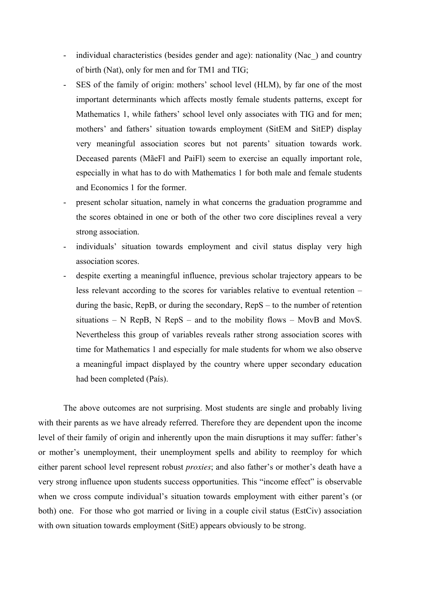- individual characteristics (besides gender and age): nationality (Nac) and country of birth (Nat), only for men and for TM1 and TIG;
- SES of the family of origin: mothers' school level (HLM), by far one of the most important determinants which affects mostly female students patterns, except for Mathematics 1, while fathers' school level only associates with TIG and for men; mothers' and fathers' situation towards employment (SitEM and SitEP) display very meaningful association scores but not parents' situation towards work. Deceased parents (MãeFl and PaiFl) seem to exercise an equally important role, especially in what has to do with Mathematics 1 for both male and female students and Economics 1 for the former.
- present scholar situation, namely in what concerns the graduation programme and the scores obtained in one or both of the other two core disciplines reveal a very strong association.
- individuals' situation towards employment and civil status display very high association scores.
- despite exerting a meaningful influence, previous scholar trajectory appears to be less relevant according to the scores for variables relative to eventual retention – during the basic, RepB, or during the secondary, RepS – to the number of retention situations – N RepB, N RepS – and to the mobility flows – MovB and MovS. Nevertheless this group of variables reveals rather strong association scores with time for Mathematics 1 and especially for male students for whom we also observe a meaningful impact displayed by the country where upper secondary education had been completed (País).

The above outcomes are not surprising. Most students are single and probably living with their parents as we have already referred. Therefore they are dependent upon the income level of their family of origin and inherently upon the main disruptions it may suffer: father's or mother's unemployment, their unemployment spells and ability to reemploy for which either parent school level represent robust *proxies*; and also father's or mother's death have a very strong influence upon students success opportunities. This "income effect" is observable when we cross compute individual's situation towards employment with either parent's (or both) one. For those who got married or living in a couple civil status (EstCiv) association with own situation towards employment (SitE) appears obviously to be strong.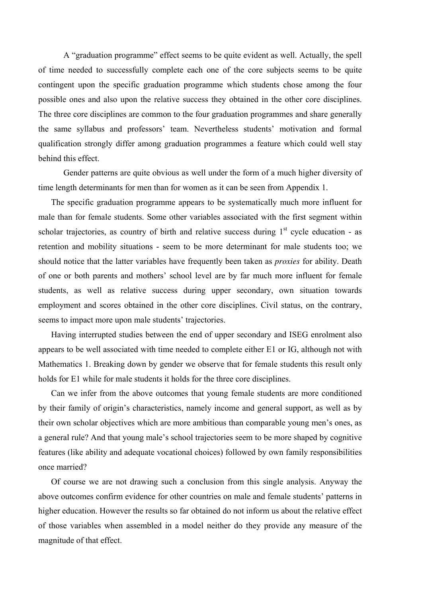A "graduation programme" effect seems to be quite evident as well. Actually, the spell of time needed to successfully complete each one of the core subjects seems to be quite contingent upon the specific graduation programme which students chose among the four possible ones and also upon the relative success they obtained in the other core disciplines. The three core disciplines are common to the four graduation programmes and share generally the same syllabus and professors' team. Nevertheless students' motivation and formal qualification strongly differ among graduation programmes a feature which could well stay behind this effect.

 Gender patterns are quite obvious as well under the form of a much higher diversity of time length determinants for men than for women as it can be seen from Appendix 1.

The specific graduation programme appears to be systematically much more influent for male than for female students. Some other variables associated with the first segment within scholar trajectories, as country of birth and relative success during  $1<sup>st</sup>$  cycle education - as retention and mobility situations - seem to be more determinant for male students too; we should notice that the latter variables have frequently been taken as *proxies* for ability. Death of one or both parents and mothers' school level are by far much more influent for female students, as well as relative success during upper secondary, own situation towards employment and scores obtained in the other core disciplines. Civil status, on the contrary, seems to impact more upon male students' trajectories.

Having interrupted studies between the end of upper secondary and ISEG enrolment also appears to be well associated with time needed to complete either E1 or IG, although not with Mathematics 1. Breaking down by gender we observe that for female students this result only holds for E1 while for male students it holds for the three core disciplines.

Can we infer from the above outcomes that young female students are more conditioned by their family of origin's characteristics, namely income and general support, as well as by their own scholar objectives which are more ambitious than comparable young men's ones, as a general rule? And that young male's school trajectories seem to be more shaped by cognitive features (like ability and adequate vocational choices) followed by own family responsibilities once married?

Of course we are not drawing such a conclusion from this single analysis. Anyway the above outcomes confirm evidence for other countries on male and female students' patterns in higher education. However the results so far obtained do not inform us about the relative effect of those variables when assembled in a model neither do they provide any measure of the magnitude of that effect.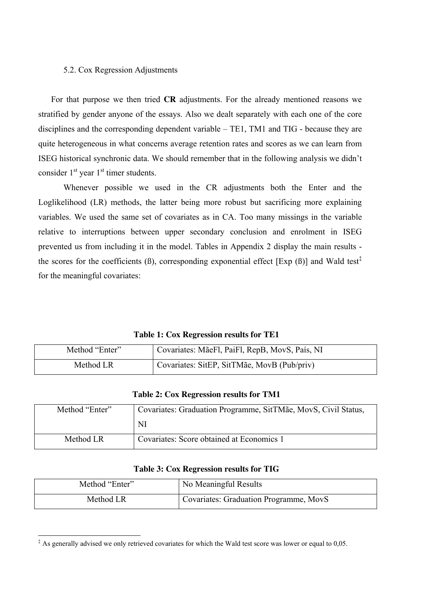#### 5.2. Cox Regression Adjustments

For that purpose we then tried **CR** adjustments. For the already mentioned reasons we stratified by gender anyone of the essays. Also we dealt separately with each one of the core disciplines and the corresponding dependent variable – TE1, TM1 and TIG - because they are quite heterogeneous in what concerns average retention rates and scores as we can learn from ISEG historical synchronic data. We should remember that in the following analysis we didn't consider  $1<sup>st</sup>$  year  $1<sup>st</sup>$  timer students.

 Whenever possible we used in the CR adjustments both the Enter and the Loglikelihood (LR) methods, the latter being more robust but sacrificing more explaining variables. We used the same set of covariates as in CA. Too many missings in the variable relative to interruptions between upper secondary conclusion and enrolment in ISEG prevented us from including it in the model. Tables in Appendix 2 display the main results the scores for the coefficients ( $\beta$ ), corresponding exponential effect [Exp ( $\beta$ )] and Wald test<sup>‡</sup> for the meaningful covariates:

**Table 1: Cox Regression results for TE1** 

| Method "Enter" | Covariates: MãeFl, PaiFl, RepB, MovS, País, NI |
|----------------|------------------------------------------------|
| Method LR      | Covariates: SitEP, SitTMãe, MovB (Pub/priv)    |

**Table 2: Cox Regression results for TM1** 

| Method "Enter" | Covariates: Graduation Programme, SitTMãe, MovS, Civil Status, |
|----------------|----------------------------------------------------------------|
|                | NI                                                             |
| Method LR      | Covariates: Score obtained at Economics 1                      |

| Table 3: Cox Regression results for TIG |  |  |
|-----------------------------------------|--|--|
|-----------------------------------------|--|--|

| Method "Enter" | No Meaningful Results                  |
|----------------|----------------------------------------|
| Method LR      | Covariates: Graduation Programme, MovS |

 ‡ As generally advised we only retrieved covariates for which the Wald test score was lower or equal to 0,05.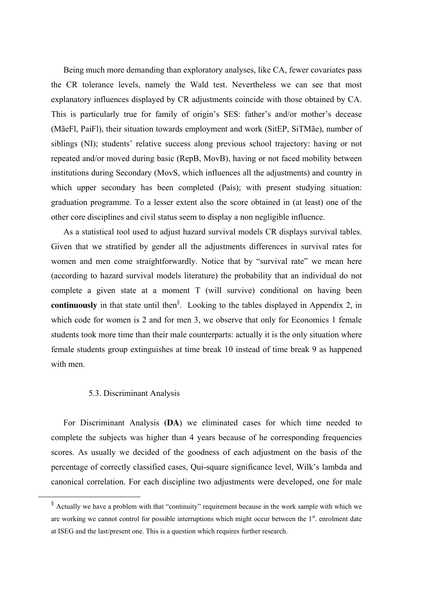Being much more demanding than exploratory analyses, like CA, fewer covariates pass the CR tolerance levels, namely the Wald test. Nevertheless we can see that most explanatory influences displayed by CR adjustments coincide with those obtained by CA. This is particularly true for family of origin's SES: father's and/or mother's decease (MãeFl, PaiFl), their situation towards employment and work (SitEP, SiTMãe), number of siblings (NI); students' relative success along previous school trajectory: having or not repeated and/or moved during basic (RepB, MovB), having or not faced mobility between institutions during Secondary (MovS, which influences all the adjustments) and country in which upper secondary has been completed (País); with present studying situation: graduation programme. To a lesser extent also the score obtained in (at least) one of the other core disciplines and civil status seem to display a non negligible influence.

 As a statistical tool used to adjust hazard survival models CR displays survival tables. Given that we stratified by gender all the adjustments differences in survival rates for women and men come straightforwardly. Notice that by "survival rate" we mean here (according to hazard survival models literature) the probability that an individual do not complete a given state at a moment T (will survive) conditional on having been **continuously** in that state until then§ . Looking to the tables displayed in Appendix 2, in which code for women is 2 and for men 3, we observe that only for Economics 1 female students took more time than their male counterparts: actually it is the only situation where female students group extinguishes at time break 10 instead of time break 9 as happened with men.

### 5.3. Discriminant Analysis

 $\overline{a}$ 

For Discriminant Analysis **(DA**) we eliminated cases for which time needed to complete the subjects was higher than 4 years because of he corresponding frequencies scores. As usually we decided of the goodness of each adjustment on the basis of the percentage of correctly classified cases, Qui-square significance level, Wilk's lambda and canonical correlation. For each discipline two adjustments were developed, one for male

 $\frac{1}{2}$  Actually we have a problem with that "continuity" requirement because in the work sample with which we are working we cannot control for possible interruptions which might occur between the  $1<sup>st</sup>$ . enrolment date at ISEG and the last/present one. This is a question which requires further research.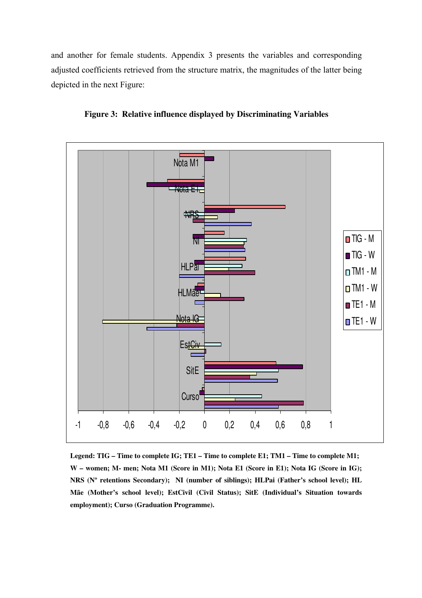and another for female students. Appendix 3 presents the variables and corresponding adjusted coefficients retrieved from the structure matrix, the magnitudes of the latter being depicted in the next Figure:



**Figure 3: Relative influence displayed by Discriminating Variables** 

**Legend: TIG – Time to complete IG; TE1 – Time to complete E1; TM1 – Time to complete M1; W – women; M- men; Nota M1 (Score in M1); Nota E1 (Score in E1); Nota IG (Score in IG); NRS (Nº retentions Secondary); NI (number of siblings); HLPai (Father's school level); HL Mãe (Mother's school level); EstCivil (Civil Status); SitE (Individual's Situation towards employment); Curso (Graduation Programme).**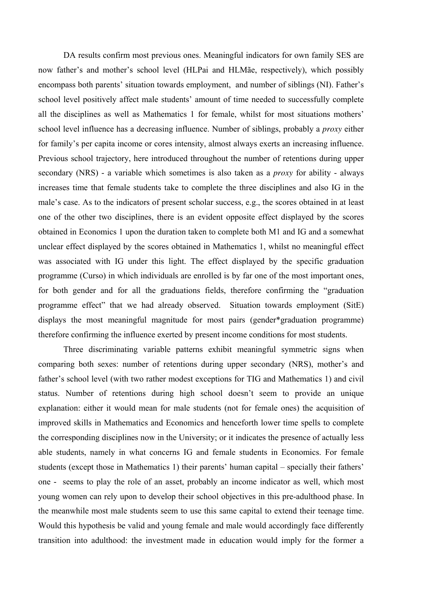DA results confirm most previous ones. Meaningful indicators for own family SES are now father's and mother's school level (HLPai and HLMãe, respectively), which possibly encompass both parents' situation towards employment, and number of siblings (NI). Father's school level positively affect male students' amount of time needed to successfully complete all the disciplines as well as Mathematics 1 for female, whilst for most situations mothers' school level influence has a decreasing influence. Number of siblings, probably a *proxy* either for family's per capita income or cores intensity, almost always exerts an increasing influence. Previous school trajectory, here introduced throughout the number of retentions during upper secondary (NRS) - a variable which sometimes is also taken as a *proxy* for ability - always increases time that female students take to complete the three disciplines and also IG in the male's case. As to the indicators of present scholar success, e.g., the scores obtained in at least one of the other two disciplines, there is an evident opposite effect displayed by the scores obtained in Economics 1 upon the duration taken to complete both M1 and IG and a somewhat unclear effect displayed by the scores obtained in Mathematics 1, whilst no meaningful effect was associated with IG under this light. The effect displayed by the specific graduation programme (Curso) in which individuals are enrolled is by far one of the most important ones, for both gender and for all the graduations fields, therefore confirming the "graduation programme effect" that we had already observed. Situation towards employment (SitE) displays the most meaningful magnitude for most pairs (gender\*graduation programme) therefore confirming the influence exerted by present income conditions for most students.

Three discriminating variable patterns exhibit meaningful symmetric signs when comparing both sexes: number of retentions during upper secondary (NRS), mother's and father's school level (with two rather modest exceptions for TIG and Mathematics 1) and civil status. Number of retentions during high school doesn't seem to provide an unique explanation: either it would mean for male students (not for female ones) the acquisition of improved skills in Mathematics and Economics and henceforth lower time spells to complete the corresponding disciplines now in the University; or it indicates the presence of actually less able students, namely in what concerns IG and female students in Economics. For female students (except those in Mathematics 1) their parents' human capital – specially their fathers' one - seems to play the role of an asset, probably an income indicator as well, which most young women can rely upon to develop their school objectives in this pre-adulthood phase. In the meanwhile most male students seem to use this same capital to extend their teenage time. Would this hypothesis be valid and young female and male would accordingly face differently transition into adulthood: the investment made in education would imply for the former a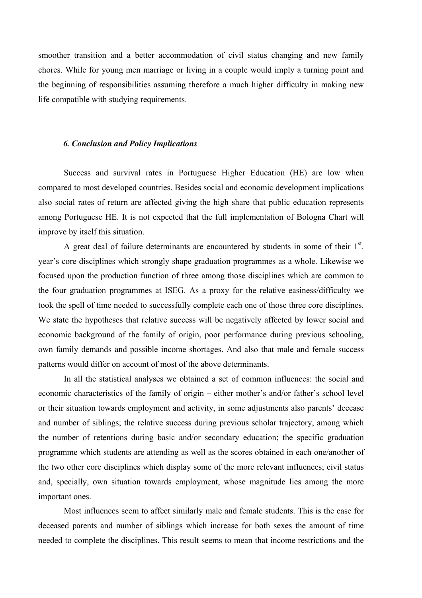smoother transition and a better accommodation of civil status changing and new family chores. While for young men marriage or living in a couple would imply a turning point and the beginning of responsibilities assuming therefore a much higher difficulty in making new life compatible with studying requirements.

#### *6. Conclusion and Policy Implications*

Success and survival rates in Portuguese Higher Education (HE) are low when compared to most developed countries. Besides social and economic development implications also social rates of return are affected giving the high share that public education represents among Portuguese HE. It is not expected that the full implementation of Bologna Chart will improve by itself this situation.

A great deal of failure determinants are encountered by students in some of their  $1<sup>st</sup>$ . year's core disciplines which strongly shape graduation programmes as a whole. Likewise we focused upon the production function of three among those disciplines which are common to the four graduation programmes at ISEG. As a proxy for the relative easiness/difficulty we took the spell of time needed to successfully complete each one of those three core disciplines. We state the hypotheses that relative success will be negatively affected by lower social and economic background of the family of origin, poor performance during previous schooling, own family demands and possible income shortages. And also that male and female success patterns would differ on account of most of the above determinants.

In all the statistical analyses we obtained a set of common influences: the social and economic characteristics of the family of origin – either mother's and/or father's school level or their situation towards employment and activity, in some adjustments also parents' decease and number of siblings; the relative success during previous scholar trajectory, among which the number of retentions during basic and/or secondary education; the specific graduation programme which students are attending as well as the scores obtained in each one/another of the two other core disciplines which display some of the more relevant influences; civil status and, specially, own situation towards employment, whose magnitude lies among the more important ones.

Most influences seem to affect similarly male and female students. This is the case for deceased parents and number of siblings which increase for both sexes the amount of time needed to complete the disciplines. This result seems to mean that income restrictions and the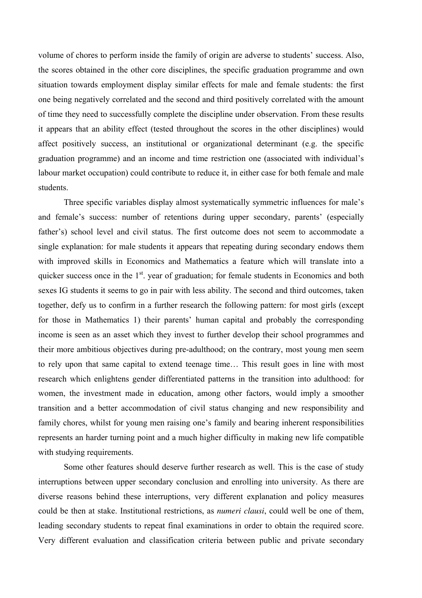volume of chores to perform inside the family of origin are adverse to students' success. Also, the scores obtained in the other core disciplines, the specific graduation programme and own situation towards employment display similar effects for male and female students: the first one being negatively correlated and the second and third positively correlated with the amount of time they need to successfully complete the discipline under observation. From these results it appears that an ability effect (tested throughout the scores in the other disciplines) would affect positively success, an institutional or organizational determinant (e.g. the specific graduation programme) and an income and time restriction one (associated with individual's labour market occupation) could contribute to reduce it, in either case for both female and male students.

Three specific variables display almost systematically symmetric influences for male's and female's success: number of retentions during upper secondary, parents' (especially father's) school level and civil status. The first outcome does not seem to accommodate a single explanation: for male students it appears that repeating during secondary endows them with improved skills in Economics and Mathematics a feature which will translate into a quicker success once in the  $1<sup>st</sup>$ , year of graduation; for female students in Economics and both sexes IG students it seems to go in pair with less ability. The second and third outcomes, taken together, defy us to confirm in a further research the following pattern: for most girls (except for those in Mathematics 1) their parents' human capital and probably the corresponding income is seen as an asset which they invest to further develop their school programmes and their more ambitious objectives during pre-adulthood; on the contrary, most young men seem to rely upon that same capital to extend teenage time… This result goes in line with most research which enlightens gender differentiated patterns in the transition into adulthood: for women, the investment made in education, among other factors, would imply a smoother transition and a better accommodation of civil status changing and new responsibility and family chores, whilst for young men raising one's family and bearing inherent responsibilities represents an harder turning point and a much higher difficulty in making new life compatible with studying requirements.

Some other features should deserve further research as well. This is the case of study interruptions between upper secondary conclusion and enrolling into university. As there are diverse reasons behind these interruptions, very different explanation and policy measures could be then at stake. Institutional restrictions, as *numeri clausi*, could well be one of them, leading secondary students to repeat final examinations in order to obtain the required score. Very different evaluation and classification criteria between public and private secondary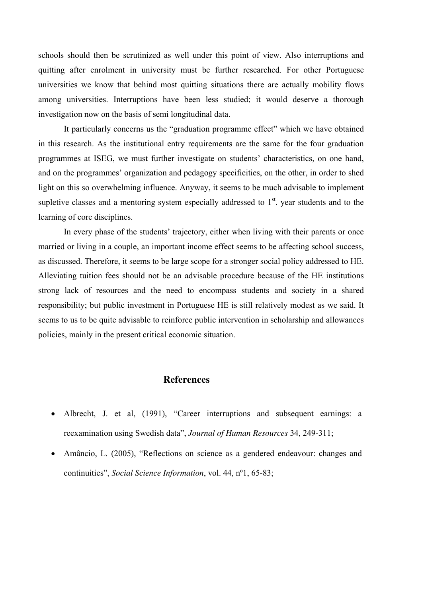schools should then be scrutinized as well under this point of view. Also interruptions and quitting after enrolment in university must be further researched. For other Portuguese universities we know that behind most quitting situations there are actually mobility flows among universities. Interruptions have been less studied; it would deserve a thorough investigation now on the basis of semi longitudinal data.

It particularly concerns us the "graduation programme effect" which we have obtained in this research. As the institutional entry requirements are the same for the four graduation programmes at ISEG, we must further investigate on students' characteristics, on one hand, and on the programmes' organization and pedagogy specificities, on the other, in order to shed light on this so overwhelming influence. Anyway, it seems to be much advisable to implement supletive classes and a mentoring system especially addressed to  $1<sup>st</sup>$ . year students and to the learning of core disciplines.

In every phase of the students' trajectory, either when living with their parents or once married or living in a couple, an important income effect seems to be affecting school success, as discussed. Therefore, it seems to be large scope for a stronger social policy addressed to HE. Alleviating tuition fees should not be an advisable procedure because of the HE institutions strong lack of resources and the need to encompass students and society in a shared responsibility; but public investment in Portuguese HE is still relatively modest as we said. It seems to us to be quite advisable to reinforce public intervention in scholarship and allowances policies, mainly in the present critical economic situation.

## **References**

- Albrecht, J. et al, (1991), "Career interruptions and subsequent earnings: a reexamination using Swedish data", *Journal of Human Resources* 34, 249-311;
- Amâncio, L. (2005), "Reflections on science as a gendered endeavour: changes and continuities", *Social Science Information*, vol. 44, nº1, 65-83;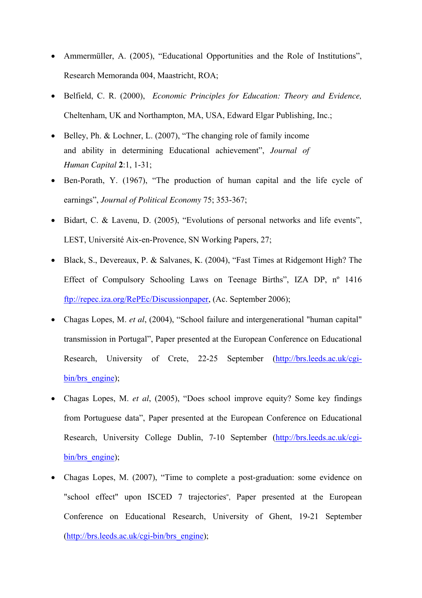- Ammermüller, A. (2005), "Educational Opportunities and the Role of Institutions", Research Memoranda 004, Maastricht, ROA;
- Belfield, C. R. (2000), *Economic Principles for Education: Theory and Evidence,*  Cheltenham, UK and Northampton, MA, USA, Edward Elgar Publishing, Inc.;
- Belley, Ph. & Lochner, L. (2007), "The changing role of family income and ability in determining Educational achievement", *Journal of Human Capital* **2**:1, 1-31;
- Ben-Porath, Y. (1967), "The production of human capital and the life cycle of earnings", *Journal of Political Economy* 75; 353-367;
- Bidart, C. & Lavenu, D. (2005), "Evolutions of personal networks and life events", LEST, Université Aix-en-Provence, SN Working Papers, 27;
- Black, S., Devereaux, P. & Salvanes, K. (2004), "Fast Times at Ridgemont High? The Effect of Compulsory Schooling Laws on Teenage Births", IZA DP, nº 1416 ftp://repec.iza.org/RePEc/Discussionpaper, (Ac. September 2006);
- Chagas Lopes, M. *et al*, (2004), "School failure and intergenerational "human capital" transmission in Portugal", Paper presented at the European Conference on Educational Research, University of Crete, 22-25 September (http://brs.leeds.ac.uk/cgibin/brs engine);
- Chagas Lopes, M. *et al*, (2005), "Does school improve equity? Some key findings from Portuguese data", Paper presented at the European Conference on Educational Research, University College Dublin, 7-10 September (http://brs.leeds.ac.uk/cgibin/brs engine);
- Chagas Lopes, M. (2007), "Time to complete a post-graduation: some evidence on "school effect" upon ISCED 7 trajectories", Paper presented at the European Conference on Educational Research, University of Ghent, 19-21 September (http://brs.leeds.ac.uk/cgi-bin/brs\_engine);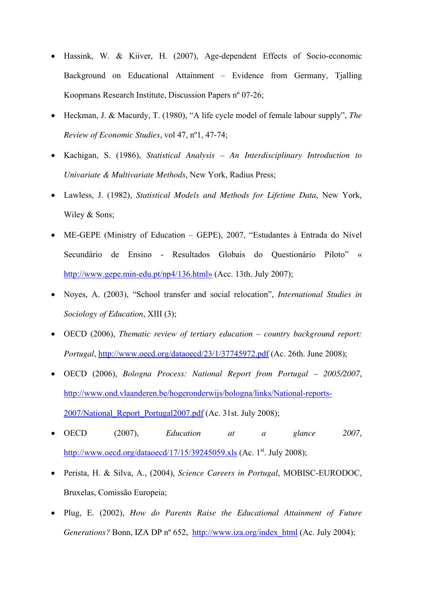- Hassink, W. & Kiiver, H. (2007), Age-dependent Effects of Socio-economic Background on Educational Attainment – Evidence from Germany, Tjalling Koopmans Research Institute, Discussion Papers nº 07-26;
- Heckman, J. & Macurdy, T. (1980), "A life cycle model of female labour supply", *The Review of Economic Studies*, vol 47, nº1, 47-74;
- Kachigan, S. (1986), *Statistical Analysis An Interdisciplinary Introduction to Univariate & Multivariate Methods*, New York, Radius Press;
- Lawless, J. (1982), *Statistical Models and Methods for Lifetime Data*, New York, Wiley & Sons;
- ME-GEPE (Ministry of Education GEPE), 2007, "Estudantes à Entrada do Nível Secundário de Ensino - Resultados Globais do Questionário Piloto" « http://www.gepe.min-edu.pt/np4/136.html» (Acc. 13th. July 2007);
- Noyes, A. (2003), "School transfer and social relocation", *International Studies in Sociology of Education*, XIII (3);
- OECD (2006), *Thematic review of tertiary education country background report: Portugal*, http://www.oecd.org/dataoecd/23/1/37745972.pdf (Ac. 26th. June 2008);
- OECD (2006), *Bologna Process: National Report from Portugal 2005/2007*, http://www.ond.vlaanderen.be/hogeronderwijs/bologna/links/National-reports-2007/National\_Report\_Portugal2007.pdf (Ac. 31st. July 2008);
- OECD (2007), *Education at a glance 2007*, http://www.oecd.org/dataoecd/17/15/39245059.xls (Ac.  $1<sup>st</sup>$ . July 2008);
- Perista, H. & Silva, A., (2004), *Science Careers in Portugal*, MOBISC-EURODOC, Bruxelas, Comissão Europeia;
- Plug, E. (2002), *How do Parents Raise the Educational Attainment of Future Generations?* Bonn, IZA DP n° 652, http://www.iza.org/index\_html (Ac. July 2004);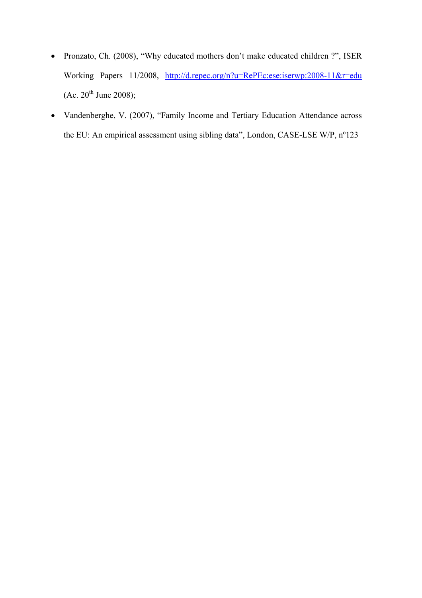- Pronzato, Ch. (2008), "Why educated mothers don't make educated children ?", ISER Working Papers 11/2008, http://d.repec.org/n?u=RePEc:ese:iserwp:2008-11&r=edu (Ac.  $20^{th}$  June 2008);
- Vandenberghe, V. (2007), "Family Income and Tertiary Education Attendance across the EU: An empirical assessment using sibling data", London, CASE-LSE W/P, nº123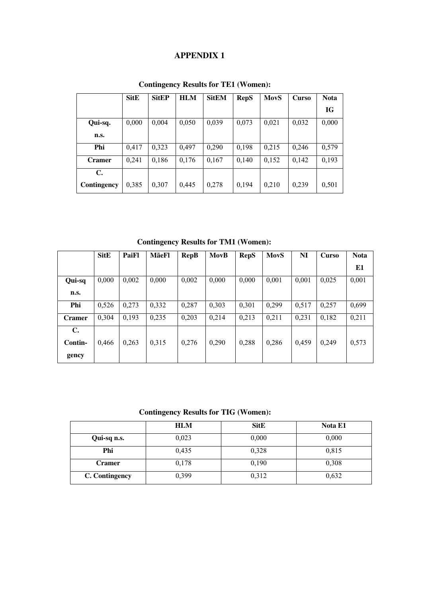## **APPENDIX 1**

|                | <b>SitE</b> | <b>SitEP</b> | <b>HLM</b> | <b>SitEM</b> | <b>RepS</b> | <b>MovS</b> | <b>Curso</b> | <b>Nota</b> |
|----------------|-------------|--------------|------------|--------------|-------------|-------------|--------------|-------------|
|                |             |              |            |              |             |             |              | <b>IG</b>   |
| Qui-sq.        | 0,000       | 0,004        | 0,050      | 0,039        | 0,073       | 0,021       | 0,032        | 0,000       |
| n.s.           |             |              |            |              |             |             |              |             |
| Phi            | 0,417       | 0,323        | 0,497      | 0,290        | 0,198       | 0,215       | 0,246        | 0,579       |
| <b>Cramer</b>  | 0,241       | 0,186        | 0,176      | 0,167        | 0,140       | 0,152       | 0,142        | 0,193       |
| $\mathbf{C}$ . |             |              |            |              |             |             |              |             |
| Contingency    | 0,385       | 0,307        | 0,445      | 0,278        | 0,194       | 0,210       | 0,239        | 0,501       |

## **Contingency Results for TE1 (Women):**

 **Contingency Results for TM1 (Women):** 

|               | <b>SitE</b> | PaiFl | MãeFl | <b>RepB</b> | MovB  | <b>RepS</b> | <b>MovS</b> | NI    | Curso | <b>Nota</b> |
|---------------|-------------|-------|-------|-------------|-------|-------------|-------------|-------|-------|-------------|
|               |             |       |       |             |       |             |             |       |       | E1          |
| Qui-sq        | 0,000       | 0,002 | 0,000 | 0,002       | 0,000 | 0,000       | 0,001       | 0,001 | 0,025 | 0,001       |
| n.s.          |             |       |       |             |       |             |             |       |       |             |
| Phi           | 0,526       | 0,273 | 0,332 | 0,287       | 0,303 | 0,301       | 0,299       | 0,517 | 0,257 | 0,699       |
| <b>Cramer</b> | 0,304       | 0,193 | 0,235 | 0,203       | 0,214 | 0,213       | 0,211       | 0,231 | 0,182 | 0,211       |
| C.            |             |       |       |             |       |             |             |       |       |             |
| Contin-       | 0,466       | 0,263 | 0,315 | 0,276       | 0,290 | 0,288       | 0,286       | 0,459 | 0,249 | 0,573       |
| gency         |             |       |       |             |       |             |             |       |       |             |

 **Contingency Results for TIG (Women):** 

|                | <b>HLM</b> | <b>SitE</b> | Nota E1 |
|----------------|------------|-------------|---------|
| Qui-sq n.s.    | 0,023      | 0,000       | 0,000   |
| Phi            | 0,435      | 0,328       | 0,815   |
| <b>Cramer</b>  | 0,178      | 0,190       | 0,308   |
| C. Contingency | 0,399      | 0,312       | 0,632   |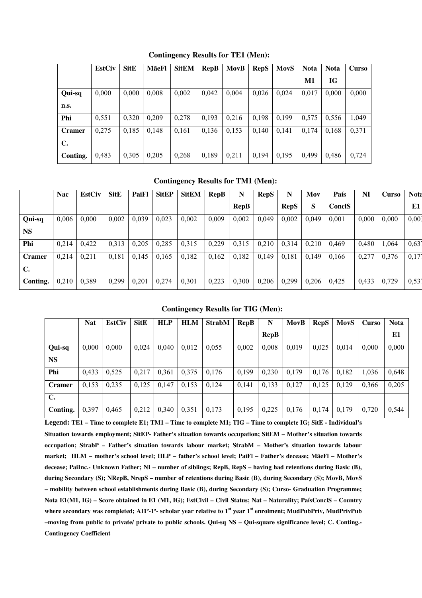|               | <b>EstCiv</b> | <b>SitE</b> | MãeFl | <b>SitEM</b> | <b>RepB</b> | MovB  | <b>RepS</b> | <b>MovS</b> | <b>Nota</b> | <b>Nota</b> | <b>Curso</b> |
|---------------|---------------|-------------|-------|--------------|-------------|-------|-------------|-------------|-------------|-------------|--------------|
|               |               |             |       |              |             |       |             |             | M1          | IG          |              |
| Qui-sq        | 0,000         | 0,000       | 0,008 | 0,002        | 0,042       | 0,004 | 0,026       | 0,024       | 0,017       | 0,000       | 0,000        |
| n.s.          |               |             |       |              |             |       |             |             |             |             |              |
| Phi           | 0,551         | 0,320       | 0,209 | 0,278        | 0,193       | 0,216 | 0,198       | 0.199       | 0,575       | 0,556       | 1,049        |
| <b>Cramer</b> | 0,275         | 0,185       | 0,148 | 0,161        | 0,136       | 0,153 | 0,140       | 0.141       | 0.174       | 0.168       | 0,371        |
| C.            |               |             |       |              |             |       |             |             |             |             |              |
| Conting.      | 0,483         | 0,305       | 0,205 | 0,268        | 0,189       | 0,211 | 0,194       | 0,195       | 0.499       | 0,486       | 0,724        |

 **Contingency Results for TE1 (Men):** 

 **Contingency Results for TM1 (Men):** 

|               | <b>Nac</b> | <b>EstCiv</b> | <b>SitE</b> | PaiFl | <b>SitEP</b> | <b>SitEM</b> | <b>RepB</b> | N           | <b>RepS</b> | N           | Mov   | País          | NI    | <b>Curso</b> | <b>Nota</b> |
|---------------|------------|---------------|-------------|-------|--------------|--------------|-------------|-------------|-------------|-------------|-------|---------------|-------|--------------|-------------|
|               |            |               |             |       |              |              |             | <b>RepB</b> |             | <b>RepS</b> | S     | <b>ConclS</b> |       |              | E1          |
| Qui-sq        | 0,006      | 0,000         | 0,002       | 0,039 | 0,023        | 0,002        | 0,009       | 0,002       | 0,049       | 0,002       | 0,049 | 0,001         | 0,000 | 0,000        | 0,003       |
| <b>NS</b>     |            |               |             |       |              |              |             |             |             |             |       |               |       |              |             |
| Phi           | 0.214      | 0,422         | 0,313       | 0,205 | 0,285        | 0,315        | 0,229       | 0,315       | 0,210       | 0,314       | 0,210 | 0.469         | 0,480 | 1,064        | 0,631       |
| <b>Cramer</b> | 0,214      | 0,211         | 0,181       | 0,145 | 0,165        | 0,182        | 0,162       | 0,182       | 0,149       | 0,181       | 0,149 | 0,166         | 0,277 | 0,376        | 0,177       |
| C.            |            |               |             |       |              |              |             |             |             |             |       |               |       |              |             |
| Conting.      | 0,210      | 0,389         | 0,299       | 0,201 | 0,274        | 0,301        | 0,223       | 0,300       | 0,206       | 0,299       | 0,206 | 0,425         | 0,433 | 0,729        | 0,531       |

#### **Contingency Results for TIG (Men):**

|                | <b>Nat</b> | <b>EstCiv</b> | <b>SitE</b> | <b>HLP</b> | <b>HLM</b> | <b>StrabM</b> | <b>RepB</b> | N           | MovB  | <b>RepS</b> | MovS  | <b>Curso</b> | <b>Nota</b> |
|----------------|------------|---------------|-------------|------------|------------|---------------|-------------|-------------|-------|-------------|-------|--------------|-------------|
|                |            |               |             |            |            |               |             | <b>RepB</b> |       |             |       |              | E1          |
| Qui-sq         | 0,000      | 0,000         | 0,024       | 0,040      | 0,012      | 0,055         | 0,002       | 0,008       | 0,019 | 0,025       | 0,014 | 0,000        | 0,000       |
| <b>NS</b>      |            |               |             |            |            |               |             |             |       |             |       |              |             |
| Phi            | 0,433      | 0,525         | 0,217       | 0,361      | 0,375      | 0,176         | 0,199       | 0,230       | 0,179 | 0,176       | 0,182 | 1,036        | 0,648       |
| <b>Cramer</b>  | 0,153      | 0,235         | 0,125       | 0,147      | 0,153      | 0,124         | 0,141       | 0,133       | 0,127 | 0,125       | 0,129 | 0,366        | 0,205       |
| $\mathbf{C}$ . |            |               |             |            |            |               |             |             |       |             |       |              |             |
| Conting.       | 0,397      | 0,465         | 0,212       | 0,340      | 0,351      | 0,173         | 0,195       | 0,225       | 0,176 | 0,174       | 0,179 | 0,720        | 0,544       |

**Legend: TE1 – Time to complete E1; TM1 – Time to complete M1; TIG – Time to complete IG; SitE - Individual's Situation towards employment; SitEP- Father's situation towards occupation; SitEM – Mother's situation towards occupation; StrabP – Father's situation towards labour market; StrabM – Mother's situation towards labour market; HLM – mother's school level; HLP – father's school level; PaiFl – Father's decease; MãeFl – Mother's decease; PaiInc.- Unknown Father; NI – number of siblings; RepB, RepS – having had retentions during Basic (B), during Secondary (S); NRepB, NrepS – number of retentions during Basic (B), during Secondary (S); MovB, MovS – mobility between school establishments during Basic (B), during Secondary (S); Curso- Graduation Programme; Nota E1(M1, IG) – Score obtained in E1 (M1, IG); EstCivil – Civil Status; Nat – Naturality; PaísConclS – Country where secondary was completed; AI1º-1ª- scholar year relative to 1st year 1st enrolment; MudPubPriv, MudPrivPub –moving from public to private/ private to public schools. Qui-sq NS – Qui-square significance level; C. Conting.- Contingency Coefficient**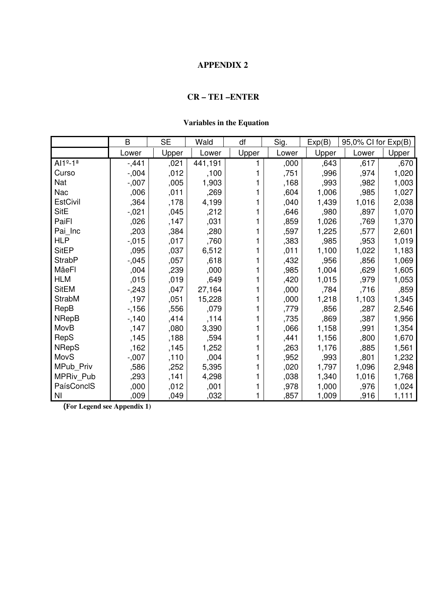## **APPENDIX 2**

## **CR – TE1 –ENTER**

## **Variables in the Equation**

|                           | B        | <b>SE</b> | Wald    | df    | Sig.  | Exp(B) | 95,0% CI for Exp(B) |       |
|---------------------------|----------|-----------|---------|-------|-------|--------|---------------------|-------|
|                           | Lower    | Upper     | Lower   | Upper | Lower | Upper  | Lower               | Upper |
| $Al1^{\circ} - 1^{\circ}$ | $-441$   | ,021      | 441,191 |       | ,000  | ,643   | ,617                | ,670  |
| Curso                     | $-0.004$ | ,012      | ,100    |       | ,751  | ,996   | ,974                | 1,020 |
| Nat                       | $-0.007$ | ,005      | 1,903   |       | ,168  | ,993   | ,982                | 1,003 |
| Nac                       | ,006     | ,011      | ,269    |       | ,604  | 1,006  | ,985                | 1,027 |
| <b>EstCivil</b>           | ,364     | ,178      | 4,199   |       | ,040  | 1,439  | 1,016               | 2,038 |
| <b>SitE</b>               | $-0.021$ | ,045      | ,212    |       | ,646  | ,980   | ,897                | 1,070 |
| PaiFl                     | ,026     | ,147      | ,031    |       | ,859  | 1,026  | ,769                | 1,370 |
| Pai Inc                   | ,203     | ,384      | ,280    |       | ,597  | 1,225  | ,577                | 2,601 |
| <b>HLP</b>                | $-0.015$ | ,017      | ,760    |       | ,383  | ,985   | ,953                | 1,019 |
| <b>SitEP</b>              | ,095     | ,037      | 6,512   |       | ,011  | 1,100  | 1,022               | 1,183 |
| <b>StrabP</b>             | $-0.045$ | ,057      | ,618    |       | ,432  | ,956   | ,856                | 1,069 |
| MãeFl                     | ,004     | ,239      | ,000    |       | ,985  | 1,004  | ,629                | 1,605 |
| <b>HLM</b>                | ,015     | ,019      | ,649    |       | ,420  | 1,015  | ,979                | 1,053 |
| <b>SitEM</b>              | $-243$   | ,047      | 27,164  |       | ,000  | ,784   | ,716                | ,859  |
| StrabM                    | ,197     | ,051      | 15,228  |       | ,000  | 1,218  | 1,103               | 1,345 |
| RepB                      | $-156$   | ,556      | ,079    |       | ,779  | ,856   | ,287                | 2,546 |
| <b>NRepB</b>              | $-140$   | ,414      | ,114    |       | ,735  | ,869   | ,387                | 1,956 |
| MovB                      | ,147     | ,080      | 3,390   |       | ,066  | 1,158  | ,991                | 1,354 |
| RepS                      | ,145     | ,188      | ,594    |       | ,441  | 1,156  | ,800                | 1,670 |
| <b>NRepS</b>              | ,162     | ,145      | 1,252   |       | ,263  | 1,176  | ,885                | 1,561 |
| MovS                      | $-0.007$ | ,110      | ,004    |       | ,952  | ,993   | ,801                | 1,232 |
| MPub_Priv                 | ,586     | ,252      | 5,395   |       | ,020  | 1,797  | 1,096               | 2,948 |
| MPRiv_Pub                 | ,293     | ,141      | 4,298   |       | ,038  | 1,340  | 1,016               | 1,768 |
| PaísConclS                | ,000     | ,012      | ,001    |       | ,978  | 1,000  | ,976                | 1,024 |
| <b>NI</b>                 | ,009     | ,049      | ,032    |       | ,857  | 1,009  | ,916                | 1,111 |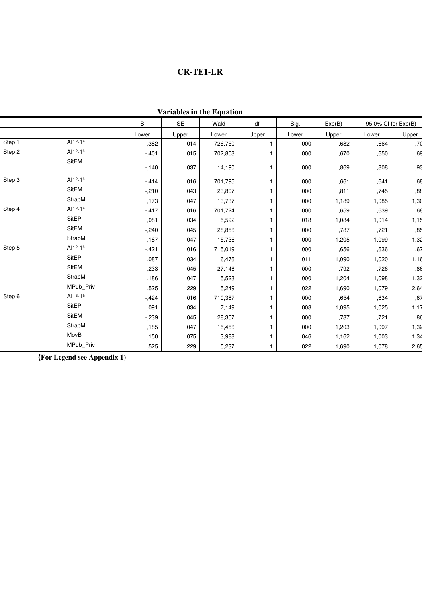## **CR-TE1-LR**

|        |                                  |          |       | variables in the Equation |              |       |        |                     |       |
|--------|----------------------------------|----------|-------|---------------------------|--------------|-------|--------|---------------------|-------|
|        |                                  | B        | SE    | Wald                      | df           | Sig.  | Exp(B) | 95,0% CI for Exp(B) |       |
|        |                                  | Lower    | Upper | Lower                     | Upper        | Lower | Upper  | Lower               | Upper |
| Step 1 | $Al1^{\circ}$ -1 <sup>ª</sup>    | $-0.382$ | ,014  | 726,750                   | 1            | ,000  | .682   | ,664                | ,70   |
| Step 2 | Al1 <sup>o</sup> -1 <sup>a</sup> | $-0.401$ | ,015  | 702,803                   | 1            | ,000  | ,670   | ,650                | ,69   |
|        | SitEM                            | $-140$   | ,037  | 14,190                    | $\mathbf{1}$ | ,000  | ,869   | ,808                | ,93   |
| Step 3 | Al1 <sup>o</sup> -1 <sup>a</sup> | $-0.414$ | ,016  | 701,795                   | 1            | ,000  | ,661   | ,641                | ,68   |
|        | <b>SitEM</b>                     | $-210$   | ,043  | 23,807                    | 1            | ,000  | ,811   | ,745                | ,88   |
|        | StrabM                           | ,173     | ,047  | 13,737                    | 1            | ,000  | 1,189  | 1,085               | 1,30  |
| Step 4 | $Al1°-1°$                        | $-417$   | ,016  | 701,724                   | 1            | ,000  | ,659   | ,639                | ,68   |
|        | SitEP                            | ,081     | ,034  | 5,592                     | 1            | ,018  | 1,084  | 1,014               | 1,15  |
|        | <b>SitEM</b>                     | $-240$   | ,045  | 28,856                    | 1            | ,000  | ,787   | ,721                | ,85   |
|        | StrabM                           | ,187     | ,047  | 15,736                    | 1            | ,000  | 1,205  | 1,099               | 1,32  |
| Step 5 | Al1 <sup>o</sup> -1 <sup>a</sup> | $-1,421$ | ,016  | 715,019                   | 1            | ,000  | ,656   | ,636                | ,67   |
|        | <b>SitEP</b>                     | ,087     | ,034  | 6,476                     | 1            | ,011  | 1,090  | 1,020               | 1,16  |
|        | <b>SitEM</b>                     | $-233$   | ,045  | 27,146                    | 1            | ,000  | ,792   | ,726                | ,86   |
|        | StrabM                           | ,186     | ,047  | 15,523                    | 1            | ,000  | 1,204  | 1,098               | 1,32  |
|        | MPub_Priv                        | ,525     | ,229  | 5,249                     | 1            | ,022  | 1,690  | 1,079               | 2,64  |
| Step 6 | $Al1^{\circ} - 1^{\circ}$        | $-1,424$ | ,016  | 710,387                   | 1            | ,000  | ,654   | ,634                | ,67   |
|        | <b>SitEP</b>                     | ,091     | ,034  | 7,149                     | 1            | ,008  | 1,095  | 1,025               | 1,17  |
|        | <b>SitEM</b>                     | $-239$   | ,045  | 28,357                    | 1            | ,000  | ,787   | ,721                | ,86   |
|        | StrabM                           | ,185     | ,047  | 15,456                    | 1            | ,000  | 1,203  | 1,097               | 1,32  |
|        | MovB                             | ,150     | ,075  | 3,988                     | 1            | ,046  | 1,162  | 1,003               | 1,34  |
|        | MPub Priv                        | ,525     | ,229  | 5,237                     | 1            | ,022  | 1,690  | 1,078               | 2,65  |

**Variables in the Equation**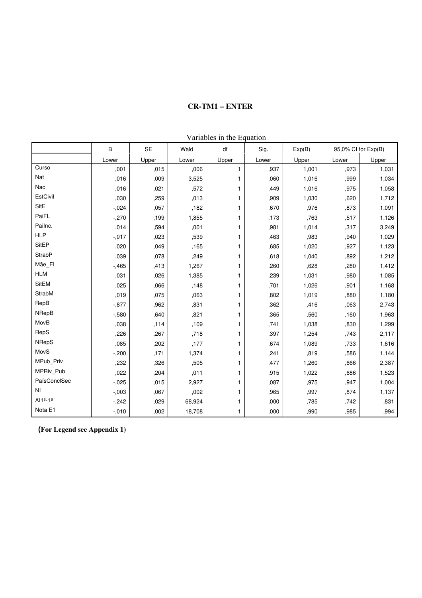## **CR-TM1 – ENTER**

|                | B        | <b>SE</b> | Wald   | df    | Sig.  | Exp(B) | 95,0% CI for Exp(B) |       |
|----------------|----------|-----------|--------|-------|-------|--------|---------------------|-------|
|                | Lower    | Upper     | Lower  | Upper | Lower | Upper  | Lower               | Upper |
| Curso          | ,001     | ,015      | ,006   | 1     | ,937  | 1,001  | ,973                | 1,031 |
| Nat            | ,016     | ,009      | 3,525  |       | ,060  | 1,016  | ,999                | 1,034 |
| Nac            | ,016     | ,021      | ,572   |       | ,449  | 1,016  | ,975                | 1,058 |
| EstCivil       | ,030     | ,259      | ,013   | 1     | ,909  | 1,030  | ,620                | 1,712 |
| <b>SitE</b>    | $-0.024$ | ,057      | ,182   |       | ,670  | ,976   | ,873                | 1,091 |
| PaiFL          | $-270$   | ,199      | 1,855  | 1     | ,173  | ,763   | ,517                | 1,126 |
| Pailnc.        | ,014     | ,594      | ,001   | 1     | ,981  | 1,014  | ,317                | 3,249 |
| <b>HLP</b>     | $-0.017$ | ,023      | ,539   |       | ,463  | ,983   | ,940                | 1,029 |
| <b>SitEP</b>   | ,020     | ,049      | ,165   |       | ,685  | 1,020  | ,927                | 1,123 |
| <b>StrabP</b>  | ,039     | .078      | ,249   | 1     | ,618  | 1,040  | .892                | 1,212 |
| Mãe_Fl         | $-0.465$ | ,413      | 1,267  |       | ,260  | ,628   | ,280                | 1,412 |
| <b>HLM</b>     | ,031     | ,026      | 1,385  | 1     | ,239  | 1,031  | ,980                | 1,085 |
| <b>SitEM</b>   | ,025     | ,066      | ,148   |       | ,701  | 1,026  | ,901                | 1,168 |
| StrabM         | ,019     | ,075      | ,063   |       | ,802  | 1,019  | ,880                | 1,180 |
| RepB           | $-0.877$ | ,962      | ,831   | 1     | ,362  | ,416   | .063                | 2,743 |
| <b>NRepB</b>   | $-580$   | ,640      | ,821   |       | ,365  | ,560   | ,160                | 1,963 |
| MovB           | ,038     | ,114      | ,109   | 1     | ,741  | 1,038  | ,830                | 1,299 |
| RepS           | ,226     | ,267      | ,718   | 1     | ,397  | 1,254  | ,743                | 2,117 |
| <b>NRepS</b>   | ,085     | ,202      | ,177   |       | ,674  | 1,089  | ,733                | 1,616 |
| MovS           | $-200$   | ,171      | 1,374  | 1     | ,241  | ,819   | ,586                | 1,144 |
| MPub_Priv      | ,232     | ,326      | ,505   |       | ,477  | 1,260  | ,666                | 2,387 |
| MPRiv_Pub      | ,022     | ,204      | ,011   | 1     | ,915  | 1,022  | ,686                | 1,523 |
| PaísConclSec   | $-0.025$ | ,015      | 2,927  | 1     | ,087  | ,975   | ,947                | 1,004 |
| N <sub>1</sub> | $-0.003$ | ,067      | ,002   |       | ,965  | ,997   | ,874                | 1,137 |
| Al1º-1ª        | $-242$   | ,029      | 68,924 | 1     | ,000  | ,785   | ,742                | ,831  |
| Nota E1        | $-0.010$ | ,002      | 18,708 | 1     | ,000  | ,990   | ,985                | ,994  |

Variables in the Equation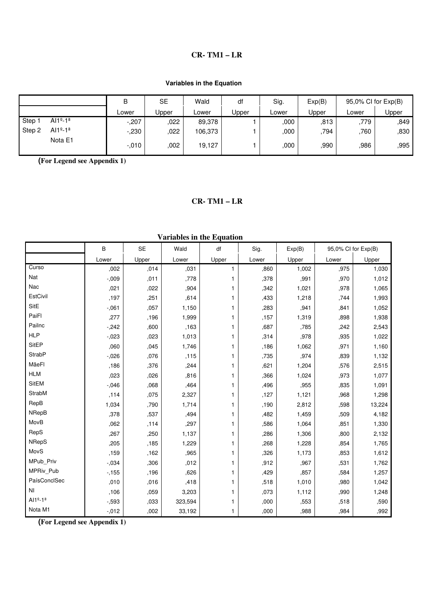### **CR- TM1 – LR**

#### **Variables in the Equation**

|        |                               | B        | SE    | Wald    | df           | Sig.  | Exp(B)       | 95,0% CI for Exp(B) |       |
|--------|-------------------------------|----------|-------|---------|--------------|-------|--------------|---------------------|-------|
|        |                               | ∟ower    | Jpper | Lower   | <b>Jpper</b> | Lower | <b>Jpper</b> | Lower               | Upper |
| Step 1 | $Al1^{\circ}$ -1 <sup>ª</sup> | $-.207$  | 022   | 89,378  |              | ,000  | ,813         | ,779                | ,849  |
| Step 2 | $Al1^{\circ}$ -1 <sup>ª</sup> | $-0.230$ | 022   | 106,373 |              | ,000  | ,794         | 760                 | ,830  |
|        | Nota E1                       | $-0.010$ | 002   | 19,127  |              | ,000  | ,990         | ,986                | ,995  |

**(For Legend see Appendix 1)** 

## **CR- TM1 – LR**

| variables in the Equation |          |       |         |              |       |        |                     |        |
|---------------------------|----------|-------|---------|--------------|-------|--------|---------------------|--------|
|                           | $\sf B$  | SE    | Wald    | df           | Sig.  | Exp(B) | 95,0% CI for Exp(B) |        |
|                           | Lower    | Upper | Lower   | Upper        | Lower | Upper  | Lower               | Upper  |
| Curso                     | ,002     | ,014  | ,031    | 1            | ,860  | 1,002  | ,975                | 1,030  |
| Nat                       | $-0.009$ | ,011  | ,778    | 1            | ,378  | ,991   | ,970                | 1,012  |
| Nac                       | ,021     | ,022  | ,904    | 1            | ,342  | 1,021  | ,978                | 1,065  |
| EstCivil                  | ,197     | ,251  | ,614    | $\mathbf{1}$ | ,433  | 1,218  | ,744                | 1,993  |
| <b>SitE</b>               | $-0.061$ | ,057  | 1,150   | 1            | ,283  | ,941   | ,841                | 1,052  |
| PaiFl                     | ,277     | ,196  | 1,999   | 1            | ,157  | 1,319  | ,898                | 1,938  |
| Pailnc                    | $-242$   | ,600  | ,163    | 1            | ,687  | ,785   | ,242                | 2,543  |
| <b>HLP</b>                | $-0.023$ | ,023  | 1,013   | 1            | ,314  | ,978   | ,935                | 1,022  |
| <b>SitEP</b>              | ,060     | ,045  | 1,746   | 1            | ,186  | 1,062  | ,971                | 1,160  |
| <b>StrabP</b>             | $-0.026$ | ,076  | ,115    | 1            | ,735  | ,974   | ,839                | 1,132  |
| MãeFl                     | ,186     | ,376  | ,244    | 1            | ,621  | 1,204  | ,576                | 2,515  |
| <b>HLM</b>                | ,023     | ,026  | ,816    | 1            | ,366  | 1,024  | ,973                | 1,077  |
| <b>SitEM</b>              | $-0.046$ | ,068  | ,464    | 1            | ,496  | ,955   | ,835                | 1,091  |
| StrabM                    | ,114     | ,075  | 2,327   | 1            | ,127  | 1,121  | ,968                | 1,298  |
| RepB                      | 1,034    | ,790  | 1,714   | 1            | ,190  | 2,812  | ,598                | 13,224 |
| NRepB                     | ,378     | ,537  | ,494    | 1            | ,482  | 1,459  | ,509                | 4,182  |
| MovB                      | ,062     | ,114  | ,297    | 1            | ,586  | 1,064  | ,851                | 1,330  |
| RepS                      | ,267     | ,250  | 1,137   | 1            | ,286  | 1,306  | ,800                | 2,132  |
| <b>NRepS</b>              | ,205     | ,185  | 1,229   | 1            | ,268  | 1,228  | ,854                | 1,765  |
| MovS                      | ,159     | ,162  | ,965    | 1            | ,326  | 1,173  | ,853                | 1,612  |
| MPub_Priv                 | $-0.034$ | ,306  | ,012    | 1            | ,912  | ,967   | ,531                | 1,762  |
| MPRiv_Pub                 | $-155$   | ,196  | ,626    | 1            | ,429  | ,857   | ,584                | 1,257  |
| PaísConclSec              | ,010     | ,016  | ,418    | 1            | ,518  | 1,010  | ,980                | 1,042  |
| N <sub>l</sub>            | ,106     | ,059  | 3,203   | 1            | ,073  | 1,112  | ,990                | 1,248  |
| Al1º-1ª                   | $-0.593$ | ,033  | 323,594 | 1            | ,000  | ,553   | ,518                | ,590   |
| Nota M1                   | $-0.012$ | ,002  | 33,192  | 1            | ,000  | ,988   | ,984                | ,992   |

#### **Variables in the Equation**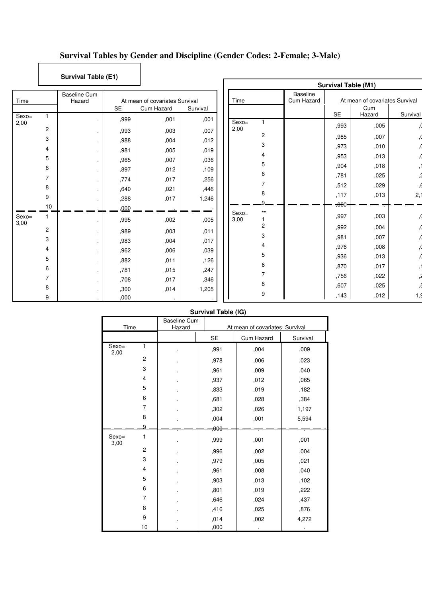## **Survival Tables by Gender and Discipline (Gender Codes: 2-Female; 3-Male)**

## **Survival Table (E1)**

| Baseline Cum<br>Time<br>Hazard |                |  | At mean of covariates Survival |            | Time     |          |                     |  |
|--------------------------------|----------------|--|--------------------------------|------------|----------|----------|---------------------|--|
|                                |                |  | SE                             | Cum Hazard | Survival |          |                     |  |
| $Sexo =$<br>2,00               | 1              |  | ,999                           | ,001       | ,001     | $Sexo =$ | 1                   |  |
|                                | $\overline{c}$ |  | ,993                           | ,003       | ,007     | 2,00     | $\overline{c}$      |  |
|                                | 3              |  | ,988                           | ,004       | ,012     |          | 3                   |  |
|                                | $\overline{4}$ |  | ,981                           | ,005       | ,019     |          |                     |  |
|                                | 5              |  | ,965                           | ,007       | ,036     |          | $\overline{4}$      |  |
|                                | 6              |  | ,897                           | ,012       | ,109     |          | 5                   |  |
|                                | $\overline{7}$ |  | ,774                           | ,017       | ,256     |          | 6<br>$\overline{7}$ |  |
|                                | 8              |  | ,640                           | ,021       | ,446     |          | 8                   |  |
|                                | 9              |  | ,288                           | ,017       | 1,246    |          | 9.                  |  |
|                                | 10             |  | .000                           |            |          | $Sexo =$ | $***$               |  |
| $Sexo =$<br>3,00               | 1              |  | ,995                           | ,002       | ,005     | 3,00     | 1<br>$\overline{c}$ |  |
|                                | $\overline{c}$ |  | ,989                           | ,003       | ,011     |          | 3                   |  |
|                                | 3              |  | ,983                           | ,004       | ,017     |          | $\overline{4}$      |  |
|                                | $\overline{4}$ |  | ,962                           | ,006       | ,039     |          | 5                   |  |
|                                | 5              |  | ,882                           | ,011       | ,126     |          | 6                   |  |
|                                | 6              |  | ,781                           | ,015       | ,247     |          |                     |  |
|                                | $\overline{7}$ |  | ,708                           | ,017       | ,346     |          | $\overline{7}$      |  |
|                                | 8              |  | ,300                           | ,014       | 1,205    |          | 8                   |  |
|                                | 9              |  | ,000                           |            |          |          | 9                   |  |

|                  |                      | Survival Table (M1)           |                  |                                |          |  |  |  |
|------------------|----------------------|-------------------------------|------------------|--------------------------------|----------|--|--|--|
| Time             |                      | <b>Baseline</b><br>Cum Hazard |                  | At mean of covariates Survival |          |  |  |  |
|                  |                      |                               | SE               | Cum<br>Hazard                  | Survival |  |  |  |
| $Sexo =$<br>2,00 | 1                    |                               | ,993             | ,005                           | ٦,       |  |  |  |
|                  | $\overline{c}$       |                               | ,985             | ,007                           | ),       |  |  |  |
|                  | 3                    |                               | ,973             | ,010                           | ),       |  |  |  |
|                  | 4                    |                               | ,953             | ,013                           | ٦,       |  |  |  |
|                  | 5                    |                               | ,904             | ,018                           |          |  |  |  |
|                  | 6                    |                               | ,781             | ,025                           | 2,       |  |  |  |
|                  | 7                    |                               | ,512             | ,029                           | 6,       |  |  |  |
|                  | 8                    |                               | ,117             | ,013                           | 2,1      |  |  |  |
|                  | Q.                   |                               | <del>,00</del> 0 |                                |          |  |  |  |
| $Sexo=$<br>3,00  | $^{\star\star}$<br>1 |                               | ,997             | ,003                           | ),       |  |  |  |
|                  | $\overline{c}$       |                               | ,992             | ,004                           | ),       |  |  |  |
|                  | 3                    |                               | ,981             | ,007                           | ),       |  |  |  |
|                  | 4                    |                               | ,976             | ,008                           | ٦,       |  |  |  |
|                  | 5                    |                               | ,936             | ,013                           | ٦,       |  |  |  |
|                  | 6                    |                               | ,870             | ,017                           | y.       |  |  |  |
|                  | 7                    |                               | ,756             | ,022                           | 2,       |  |  |  |
|                  | 8                    |                               | ,607             | ,025                           | , 5      |  |  |  |
|                  | 9                    |                               | ,143             | ,012                           | 1,9      |  |  |  |

#### **Survival Table (IG)**

| Time             |                | <b>Baseline Cum</b><br>Hazard |                  | At mean of covariates Survival |          |  |
|------------------|----------------|-------------------------------|------------------|--------------------------------|----------|--|
|                  |                |                               | SE               | Cum Hazard                     | Survival |  |
| $Sexo =$<br>2,00 | 1              |                               | ,991             | ,004                           | ,009     |  |
|                  | $\overline{2}$ |                               | ,978             | ,006                           | ,023     |  |
|                  | 3              |                               | ,961             | ,009                           | ,040     |  |
|                  | $\overline{4}$ |                               | ,937             | ,012                           | ,065     |  |
|                  | 5              |                               | ,833             | ,019                           | ,182     |  |
|                  | 6              |                               | ,681             | ,028                           | ,384     |  |
|                  | 7              |                               | ,302             | ,026                           | 1,197    |  |
|                  | 8              |                               | ,004             | ,001                           | 5,594    |  |
|                  | 9              |                               | 00 <del>0,</del> |                                |          |  |
| $Sexo =$<br>3,00 | 1              |                               | ,999             | ,001                           | ,001     |  |
|                  | $\overline{c}$ |                               | ,996             | ,002                           | ,004     |  |
|                  | 3              |                               | ,979             | ,005                           | ,021     |  |
|                  | 4              |                               | ,961             | ,008                           | ,040     |  |
|                  | 5              |                               | ,903             | ,013                           | ,102     |  |
|                  | 6              |                               | ,801             | ,019                           | ,222     |  |
|                  | 7              |                               | ,646             | ,024                           | ,437     |  |
|                  | 8              |                               | ,416             | ,025                           | ,876     |  |
|                  | 9              |                               | ,014             | ,002                           | 4,272    |  |
|                  | 10             |                               | ,000             |                                |          |  |